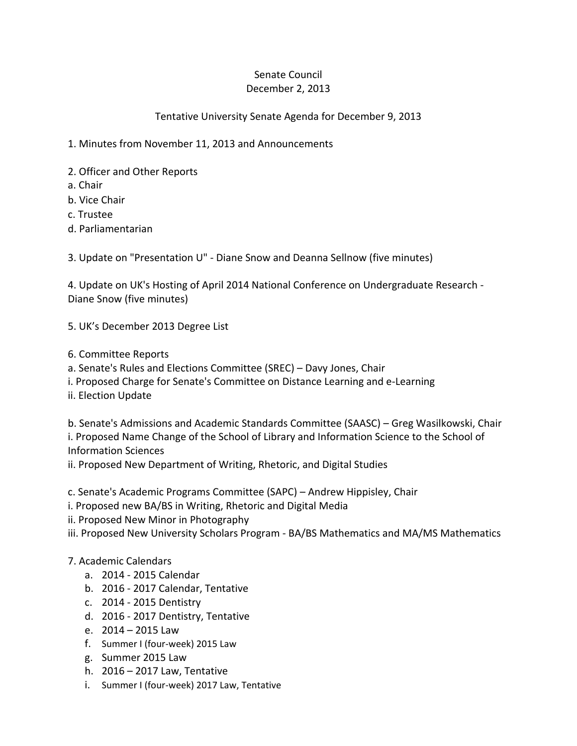## Senate Council December 2, 2013

## Tentative University Senate Agenda for December 9, 2013

1. Minutes from November 11, 2013 and Announcements

- 2. Officer and Other Reports
- a. Chair
- b. Vice Chair
- c. Trustee
- d. Parliamentarian

3. Update on "Presentation U" - Diane Snow and Deanna Sellnow (five minutes)

4. Update on UK's Hosting of April 2014 National Conference on Undergraduate Research - Diane Snow (five minutes)

- 5. UK's December 2013 Degree List
- 6. Committee Reports
- a. Senate's Rules and Elections Committee (SREC) Davy Jones, Chair
- i. Proposed Charge for Senate's Committee on Distance Learning and e-Learning
- ii. Election Update

b. Senate's Admissions and Academic Standards Committee (SAASC) – Greg Wasilkowski, Chair i. Proposed Name Change of the School of Library and Information Science to the School of Information Sciences

ii. Proposed New Department of Writing, Rhetoric, and Digital Studies

c. Senate's Academic Programs Committee (SAPC) – Andrew Hippisley, Chair

- i. Proposed new BA/BS in Writing, Rhetoric and Digital Media
- ii. Proposed New Minor in Photography

iii. Proposed New University Scholars Program - BA/BS Mathematics and MA/MS Mathematics

## 7. Academic Calendars

- a. 2014 2015 Calendar
- b. 2016 2017 Calendar, Tentative
- c. 2014 2015 Dentistry
- d. 2016 2017 Dentistry, Tentative
- e. 2014 2015 Law
- f. Summer I (four-week) 2015 Law
- g. Summer 2015 Law
- h. 2016 2017 Law, Tentative
- i. Summer I (four-week) 2017 Law, Tentative